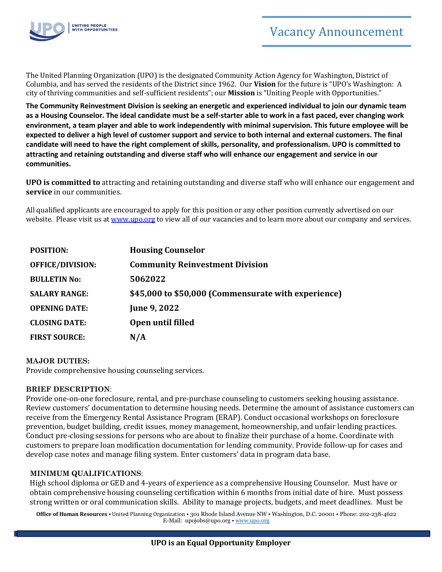

The United Planning Organization (UPO) is the designated Community Action Agency for Washington, District of Columbia, and has served the residents of the District since 1962. Our **Vision** for the future is "UPO's Washington: A city of thriving communities and self-sufficient residents"; our **Mission** is "Uniting People with Opportunities."

**The Community Reinvestment Division is seeking an energetic and experienced individual to join our dynamic team as a Housing Counselor. The ideal candidate must be a self-starter able to work in a fast paced, ever changing work environment, a team player and able to work independently with minimal supervision. This future employee will be expected to deliver a high level of customer support and service to both internal and external customers. The final candidate will need to have the right complement of skills, personality, and professionalism. UPO is committed to attracting and retaining outstanding and diverse staff who will enhance our engagement and service in our communities.**

**UPO is committed to** attracting and retaining outstanding and diverse staff who will enhance our engagement and **service** in our communities.

All qualified applicants are encouraged to apply for this position or any other position currently advertised on our website. Please visit us at [www.upo.org](http://www.upo.org/) to view all of our vacancies and to learn more about our company and services.

| <b>POSITION:</b>        | <b>Housing Counselor</b>                            |
|-------------------------|-----------------------------------------------------|
| <b>OFFICE/DIVISION:</b> | <b>Community Reinvestment Division</b>              |
| <b>BULLETIN No:</b>     | 5062022                                             |
| <b>SALARY RANGE:</b>    | \$45,000 to \$50,000 (Commensurate with experience) |
| <b>OPENING DATE:</b>    | <b>June 9, 2022</b>                                 |
| <b>CLOSING DATE:</b>    | Open until filled                                   |
| <b>FIRST SOURCE:</b>    | N/A                                                 |

### **MAJOR DUTIES:**

Provide comprehensive housing counseling services.

### **BRIEF DESCRIPTION**:

Provide one-on-one foreclosure, rental, and pre-purchase counseling to customers seeking housing assistance. Review customers' documentation to determine housing needs. Determine the amount of assistance customers can receive from the Emergency Rental Assistance Program (ERAP). Conduct occasional workshops on foreclosure prevention, budget building, credit issues, money management, homeownership, and unfair lending practices. Conduct pre-closing sessions for persons who are about to finalize their purchase of a home. Coordinate with customers to prepare loan modification documentation for lending community. Provide follow-up for cases and develop case notes and manage filing system. Enter customers' data in program data base.

### **MINIMUM QUALIFICATIONS**:

High school diploma or GED and 4-years of experience as a comprehensive Housing Counselor. Must have or obtain comprehensive housing counseling certification within 6 months from initial date of hire. Must possess strong written or oral communication skills. Ability to manage projects, budgets, and meet deadlines. Must be

**Office of Human Resources** • United Planning Organization • 301 Rhode Island Avenue NW • Washington, D.C. 20001 • Phone: 202-238-4622 E-Mail: upojobs@upo.org • [www.upo.org](http://www.upo.org/)